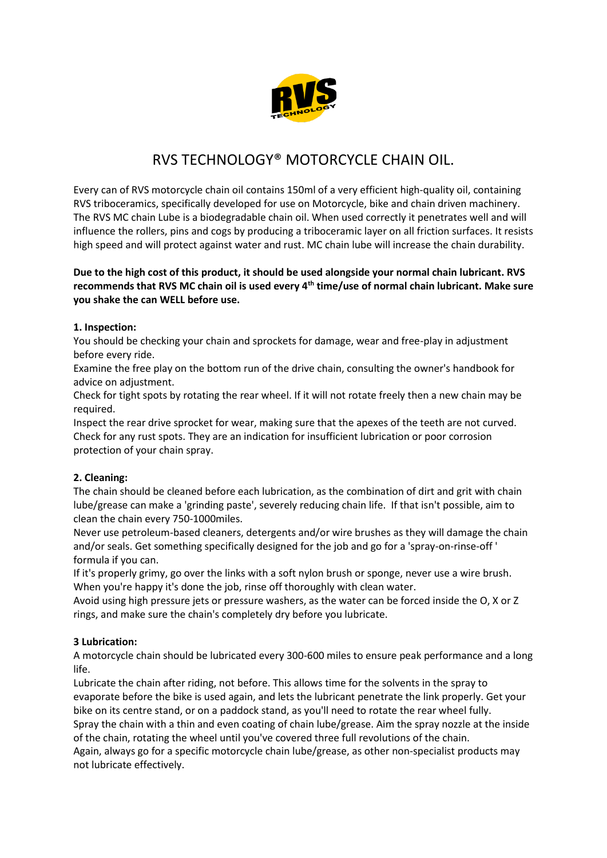

# RVS TECHNOLOGY® MOTORCYCLE CHAIN OIL.

Every can of RVS motorcycle chain oil contains 150ml of a very efficient high-quality oil, containing RVS triboceramics, specifically developed for use on Motorcycle, bike and chain driven machinery. The RVS MC chain Lube is a biodegradable chain oil. When used correctly it penetrates well and will influence the rollers, pins and cogs by producing a triboceramic layer on all friction surfaces. It resists high speed and will protect against water and rust. MC chain lube will increase the chain durability.

#### **Due to the high cost of this product, it should be used alongside your normal chain lubricant. RVS recommends that RVS MC chain oil is used every 4th time/use of normal chain lubricant. Make sure you shake the can WELL before use.**

#### **1. Inspection:**

You should be checking your chain and sprockets for damage, wear and free-play in adjustment before every ride.

Examine the free play on the bottom run of the drive chain, consulting the owner's handbook for advice on adjustment.

Check for tight spots by rotating the rear wheel. If it will not rotate freely then a new chain may be required.

Inspect the rear drive sprocket for wear, making sure that the apexes of the teeth are not curved. Check for any rust spots. They are an indication for insufficient lubrication or poor corrosion protection of your chain spray.

## **2. Cleaning:**

The chain should be cleaned before each lubrication, as the combination of dirt and grit with chain lube/grease can make a 'grinding paste', severely reducing chain life. If that isn't possible, aim to clean the chain every 750-1000miles.

Never use petroleum-based cleaners, detergents and/or wire brushes as they will damage the chain and/or seals. Get something specifically designed for the job and go for a 'spray-on-rinse-off ' formula if you can.

If it's properly grimy, go over the links with a soft nylon brush or sponge, never use a wire brush. When you're happy it's done the job, rinse off thoroughly with clean water.

Avoid using high pressure jets or pressure washers, as the water can be forced inside the O, X or Z rings, and make sure the chain's completely dry before you lubricate.

## **3 Lubrication:**

A motorcycle chain should be lubricated every 300-600 miles to ensure peak performance and a long life.

Lubricate the chain after riding, not before. This allows time for the solvents in the spray to evaporate before the bike is used again, and lets the lubricant penetrate the link properly. Get your bike on its centre stand, or on a paddock stand, as you'll need to rotate the rear wheel fully. Spray the chain with a thin and even coating of chain lube/grease. Aim the spray nozzle at the inside of the chain, rotating the wheel until you've covered three full revolutions of the chain. Again, always go for a specific motorcycle chain lube/grease, as other non-specialist products may not lubricate effectively.